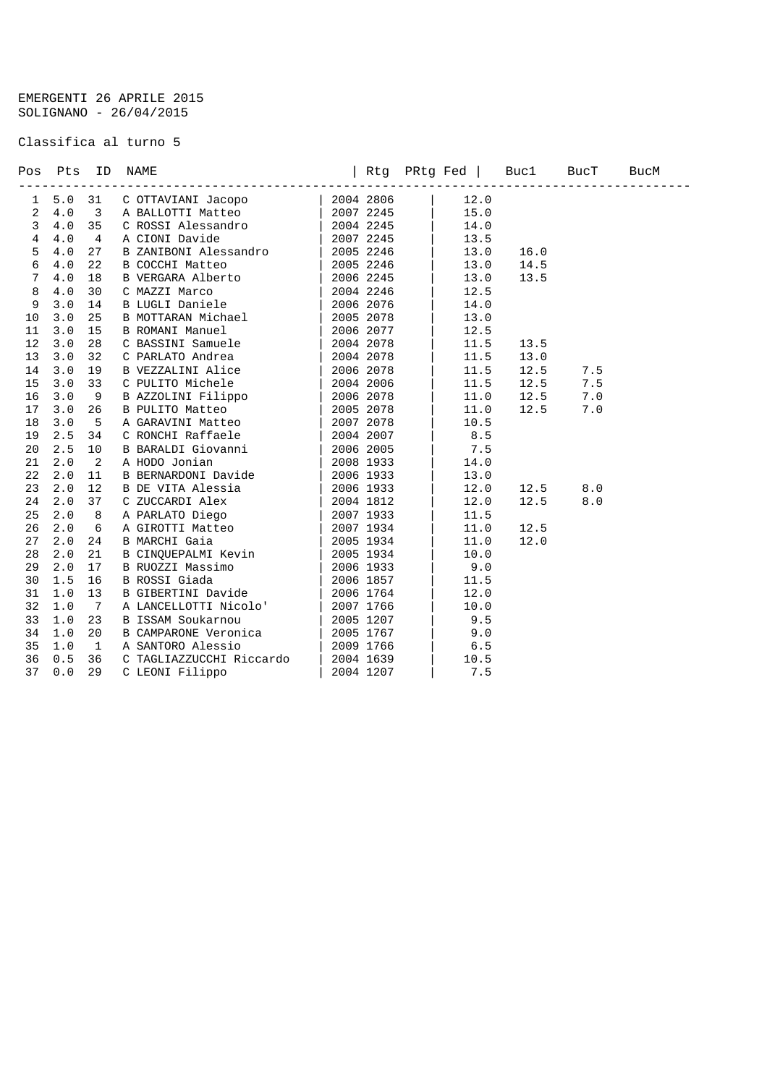## EMERGENTI 26 APRILE 2015 SOLIGNANO - 26/04/2015

## Classifica al turno 5